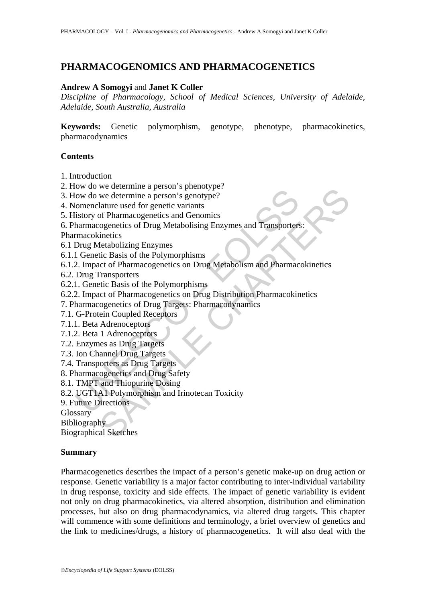# **PHARMACOGENOMICS AND PHARMACOGENETICS**

#### **Andrew A Somogyi** and **Janet K Coller**

*Discipline of Pharmacology, School of Medical Sciences, University of Adelaide, Adelaide, South Australia, Australia* 

**Keywords:** Genetic polymorphism, genotype, phenotype, pharmacokinetics, pharmacodynamics

#### **Contents**

- 1. Introduction
- 2. How do we determine a person's phenotype?
- 3. How do we determine a person's genotype?
- 4. Nomenclature used for genetic variants
- 5. History of Pharmacogenetics and Genomics
- For a we determine a person's persony-person<br>for dow do we determine a person's genotype?<br>(omenclature used for genetic variants<br>istory of Pharmacogenetics and Genomics<br>harmacogenetics of Drug Metabolising Enzymes and Tran 6. Pharmacogenetics of Drug Metabolising Enzymes and Transporters:
- Pharmacokinetics
- 6.1 Drug Metabolizing Enzymes
- 6.1.1 Genetic Basis of the Polymorphisms
- we determine a person's prototype:<br>
we determine a person's prototype?<br>
lature used for genetic variants<br>
or person's genotype?<br>
lature used for genetic variants<br>
innetics<br>
chapted chapted Denging Enzymes and Transporters: 6.1.2. Impact of Pharmacogenetics on Drug Metabolism and Pharmacokinetics
- 6.2. Drug Transporters
- 6.2.1. Genetic Basis of the Polymorphisms
- 6.2.2. Impact of Pharmacogenetics on Drug Distribution Pharmacokinetics
- 7. Pharmacogenetics of Drug Targets: Pharmacodynamics
- 7.1. G-Protein Coupled Receptors
- 7.1.1. Beta Adrenoceptors
- 7.1.2. Beta 1 Adrenoceptors
- 7.2. Enzymes as Drug Targets
- 7.3. Ion Channel Drug Targets
- 7.4. Transporters as Drug Targets
- 8. Pharmacogenetics and Drug Safety
- 8.1. TMPT and Thiopurine Dosing
- 8.2. UGT1A1 Polymorphism and Irinotecan Toxicity
- 9. Future Directions

**Glossary** 

Bibliography

Biographical Sketches

#### **Summary**

Pharmacogenetics describes the impact of a person's genetic make-up on drug action or response. Genetic variability is a major factor contributing to inter-individual variability in drug response, toxicity and side effects. The impact of genetic variability is evident not only on drug pharmacokinetics, via altered absorption, distribution and elimination processes, but also on drug pharmacodynamics, via altered drug targets. This chapter will commence with some definitions and terminology, a brief overview of genetics and the link to medicines/drugs, a history of pharmacogenetics. It will also deal with the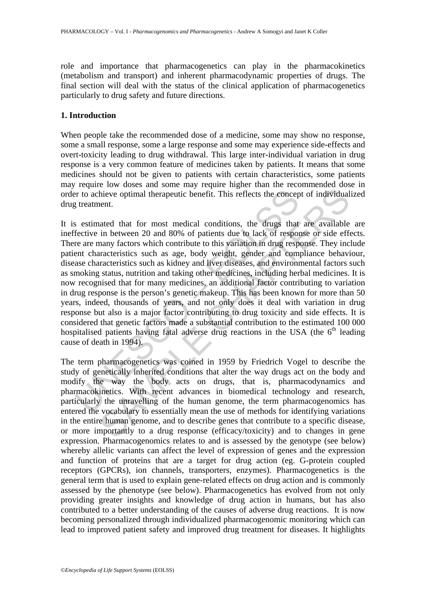role and importance that pharmacogenetics can play in the pharmacokinetics (metabolism and transport) and inherent pharmacodynamic properties of drugs. The final section will deal with the status of the clinical application of pharmacogenetics particularly to drug safety and future directions.

# **1. Introduction**

When people take the recommended dose of a medicine, some may show no response, some a small response, some a large response and some may experience side-effects and overt-toxicity leading to drug withdrawal. This large inter-individual variation in drug response is a very common feature of medicines taken by patients. It means that some medicines should not be given to patients with certain characteristics, some patients may require low doses and some may require higher than the recommended dose in order to achieve optimal therapeutic benefit. This reflects the concept of individualized drug treatment.

is to achieve optimal therapeutic benefit. This reflects the conceptive sytems and the sytems and some sytems and fective in between 20 and 80% of patients due to lack of response are are many factors which contribute to t hive optimal therapeutic benefit. This reflects the concept of individual<br>nent.<br>theve optimal therapeutic benefit. This reflects the concept of individual<br>nent.<br>tated that for most medical conditions, the drugs that are a It is estimated that for most medical conditions, the drugs that are available are ineffective in between 20 and 80% of patients due to lack of response or side effects. There are many factors which contribute to this variation in drug response. They include patient characteristics such as age, body weight, gender and compliance behaviour, disease characteristics such as kidney and liver diseases, and environmental factors such as smoking status, nutrition and taking other medicines, including herbal medicines. It is now recognised that for many medicines, an additional factor contributing to variation in drug response is the person's genetic makeup. This has been known for more than 50 years, indeed, thousands of years, and not only does it deal with variation in drug response but also is a major factor contributing to drug toxicity and side effects. It is considered that genetic factors made a substantial contribution to the estimated 100 000 hospitalised patients having fatal adverse drug reactions in the USA (the 6<sup>th</sup> leading cause of death in 1994).

The term pharmacogenetics was coined in 1959 by Friedrich Vogel to describe the study of genetically inherited conditions that alter the way drugs act on the body and modify the way the body acts on drugs, that is, pharmacodynamics and pharmacokinetics. With recent advances in biomedical technology and research, particularly the unravelling of the human genome, the term pharmacogenomics has entered the vocabulary to essentially mean the use of methods for identifying variations in the entire human genome, and to describe genes that contribute to a specific disease, or more importantly to a drug response (efficacy/toxicity) and to changes in gene expression. Pharmacogenomics relates to and is assessed by the genotype (see below) whereby allelic variants can affect the level of expression of genes and the expression and function of proteins that are a target for drug action (eg. G-protein coupled receptors (GPCRs), ion channels, transporters, enzymes). Pharmacogenetics is the general term that is used to explain gene-related effects on drug action and is commonly assessed by the phenotype (see below). Pharmacogenetics has evolved from not only providing greater insights and knowledge of drug action in humans, but has also contributed to a better understanding of the causes of adverse drug reactions. It is now becoming personalized through individualized pharmacogenomic monitoring which can lead to improved patient safety and improved drug treatment for diseases. It highlights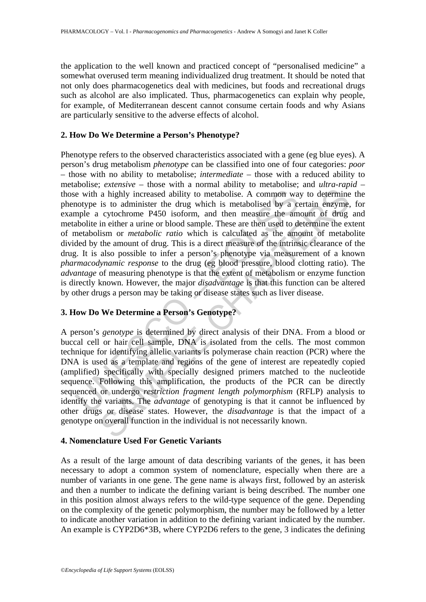the application to the well known and practiced concept of "personalised medicine" a somewhat overused term meaning individualized drug treatment. It should be noted that not only does pharmacogenetics deal with medicines, but foods and recreational drugs such as alcohol are also implicated. Thus, pharmacogenetics can explain why people, for example, of Mediterranean descent cannot consume certain foods and why Asians are particularly sensitive to the adverse effects of alcohol.

# **2. How Do We Determine a Person's Phenotype?**

is evith a highly increased ability to metabolise. A common way<br>notype is to administer the drug which is metabolised by a comple a cytochrome P450 isoform, and then measure the am<br>abolite in either a urine or blood sample a highly increased ability to metabolise. A common way to determine<br>a highly increased ability to metabolise. A common way to determine<br>is to administer the drug which is metabolised by a certain enzyme,<br>eytochrome P450 i Phenotype refers to the observed characteristics associated with a gene (eg blue eyes). A person's drug metabolism *phenotype* can be classified into one of four categories: *poor* – those with no ability to metabolise; *intermediate* – those with a reduced ability to metabolise; *extensive* – those with a normal ability to metabolise; and *ultra-rapid* – those with a highly increased ability to metabolise. A common way to determine the phenotype is to administer the drug which is metabolised by a certain enzyme, for example a cytochrome P450 isoform, and then measure the amount of drug and metabolite in either a urine or blood sample. These are then used to determine the extent of metabolism or *metabolic ratio* which is calculated as the amount of metabolite divided by the amount of drug. This is a direct measure of the intrinsic clearance of the drug. It is also possible to infer a person's phenotype via measurement of a known *pharmacodynamic response* to the drug (eg blood pressure, blood clotting ratio). The *advantage* of measuring phenotype is that the extent of metabolism or enzyme function is directly known. However, the major *disadvantage* is that this function can be altered by other drugs a person may be taking or disease states such as liver disease.

# **3. How Do We Determine a Person's Genotype?**

A person's *genotype* is determined by direct analysis of their DNA. From a blood or buccal cell or hair cell sample, DNA is isolated from the cells. The most common technique for identifying allelic variants is polymerase chain reaction (PCR) where the DNA is used as a template and regions of the gene of interest are repeatedly copied (amplified) specifically with specially designed primers matched to the nucleotide sequence. Following this amplification, the products of the PCR can be directly sequenced or undergo *restriction fragment length polymorphism* (RFLP) analysis to identify the variants. The *advantage* of genotyping is that it cannot be influenced by other drugs or disease states. However, the *disadvantage* is that the impact of a genotype on overall function in the individual is not necessarily known.

# **4. Nomenclature Used For Genetic Variants**

As a result of the large amount of data describing variants of the genes, it has been necessary to adopt a common system of nomenclature, especially when there are a number of variants in one gene. The gene name is always first, followed by an asterisk and then a number to indicate the defining variant is being described. The number one in this position almost always refers to the wild-type sequence of the gene. Depending on the complexity of the genetic polymorphism, the number may be followed by a letter to indicate another variation in addition to the defining variant indicated by the number. An example is CYP2D6\*3B, where CYP2D6 refers to the gene, 3 indicates the defining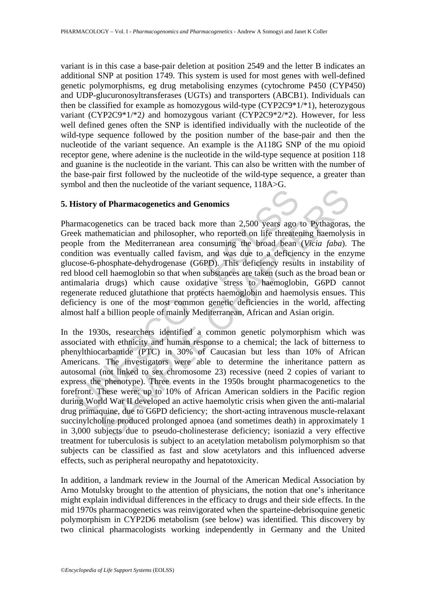variant is in this case a base-pair deletion at position 2549 and the letter B indicates an additional SNP at position 1749. This system is used for most genes with well-defined genetic polymorphisms, eg drug metabolising enzymes (cytochrome P450 (CYP450) and UDP-glucuronosyltransferases (UGTs) and transporters (ABCB1). Individuals can then be classified for example as homozygous wild-type (CYP2C9\*1/\*1), heterozygous variant (CYP2C9\*1/\*2*)* and homozygous variant (CYP2C9\*2/\*2). However, for less well defined genes often the SNP is identified individually with the nucleotide of the wild-type sequence followed by the position number of the base-pair and then the nucleotide of the variant sequence. An example is the A118G SNP of the mu opioid receptor gene, where adenine is the nucleotide in the wild-type sequence at position 118 and guanine is the nucleotide in the variant. This can also be written with the number of the base-pair first followed by the nucleotide of the wild-type sequence, a greater than symbol and then the nucleotide of the variant sequence, 118A>G.

### **5. History of Pharmacogenetics and Genomics**

listory of Pharmacogenetics and Genomics<br>
emacogenetics can be traced back more than 2,500 years ago<br>
ek mathematician and philosopher, who reported on life threater<br>
ple from the Mediterranean area consuming the broad be Pharmacogenetics can be traced back more than 2,500 years ago to Pythagoras, the Greek mathematician and philosopher, who reported on life threatening haemolysis in people from the Mediterranean area consuming the broad bean (*Vicia faba*). The condition was eventually called favism, and was due to a deficiency in the enzyme glucose-6-phosphate-dehydrogenase (G6PD). This deficiency results in instability of red blood cell haemoglobin so that when substances are taken (such as the broad bean or antimalaria drugs) which cause oxidative stress to haemoglobin, G6PD cannot regenerate reduced glutathione that protects haemoglobin and haemolysis ensues. This deficiency is one of the most common genetic deficiencies in the world, affecting almost half a billion people of mainly Mediterranean, African and Asian origin.

of **Pharmacogenetics and Genomics**<br>
enertics can be traced back more than 2,500 years ago to Pythagoras,<br>
hematician and philosopher, who reported on life threatening haemolysis<br>
m the Mediterranean area consuming the bro In the 1930s, researchers identified a common genetic polymorphism which was associated with ethnicity and human response to a chemical; the lack of bitterness to phenylthiocarbamide (PTC) in 30% of Caucasian but less than 10% of African Americans. The investigators were able to determine the inheritance pattern as autosomal (not linked to sex chromosome 23) recessive (need 2 copies of variant to express the phenotype). Three events in the 1950s brought pharmacogenetics to the forefront. These were: up to 10% of African American soldiers in the Pacific region during World War II developed an active haemolytic crisis when given the anti-malarial drug primaquine, due to G6PD deficiency; the short-acting intravenous muscle-relaxant succinylcholine produced prolonged apnoea (and sometimes death) in approximately 1 in 3,000 subjects due to pseudo-cholinesterase deficiency; isoniazid a very effective treatment for tuberculosis is subject to an acetylation metabolism polymorphism so that subjects can be classified as fast and slow acetylators and this influenced adverse effects, such as peripheral neuropathy and hepatotoxicity.

In addition, a landmark review in the Journal of the American Medical Association by Arno Motulsky brought to the attention of physicians, the notion that one's inheritance might explain individual differences in the efficacy to drugs and their side effects. In the mid 1970s pharmacogenetics was reinvigorated when the sparteine-debrisoquine genetic polymorphism in CYP2D6 metabolism (see below) was identified. This discovery by two clinical pharmacologists working independently in Germany and the United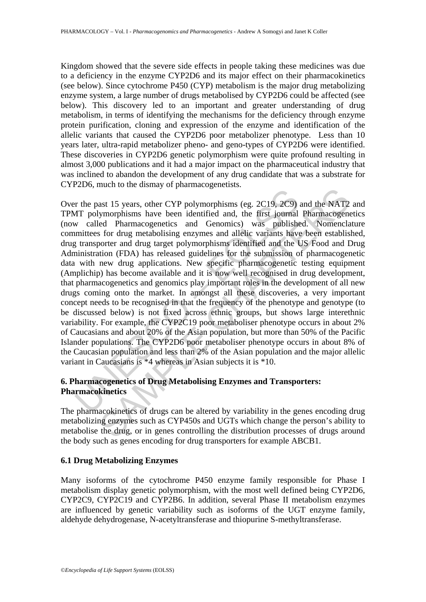Kingdom showed that the severe side effects in people taking these medicines was due to a deficiency in the enzyme CYP2D6 and its major effect on their pharmacokinetics (see below). Since cytochrome P450 (CYP) metabolism is the major drug metabolizing enzyme system, a large number of drugs metabolised by CYP2D6 could be affected (see below). This discovery led to an important and greater understanding of drug metabolism, in terms of identifying the mechanisms for the deficiency through enzyme protein purification, cloning and expression of the enzyme and identification of the allelic variants that caused the CYP2D6 poor metabolizer phenotype. Less than 10 years later, ultra-rapid metabolizer pheno- and geno-types of CYP2D6 were identified. These discoveries in CYP2D6 genetic polymorphism were quite profound resulting in almost 3,000 publications and it had a major impact on the pharmaceutical industry that was inclined to abandon the development of any drug candidate that was a substrate for CYP2D6, much to the dismay of pharmacogenetists.

In the past 15 years, other CYP polymorphisms (eg. 2C19, 2C9)<br>AT polymorphisms have been identified and, the first journal<br>w called Pharmacogenetics and Genomics) was publishe<br>minittees for drug metabolising enzymes and a and 15 years, other CYP polymorphisms (eg. 2C19, 2C9) and the NAT2<br>gan ast 15 years, other CYP polymorphisms (eg. 2C19, 2C9) and the NAT2<br>gan ast 15 years, other CYP polymorphisms dat, the first journal Pharmacogeneed<br>sor Over the past 15 years, other CYP polymorphisms (eg. 2C19, 2C9) and the NAT2 and TPMT polymorphisms have been identified and, the first journal Pharmacogenetics (now called Pharmacogenetics and Genomics) was published. Nomenclature committees for drug metabolising enzymes and allelic variants have been established, drug transporter and drug target polymorphisms identified and the US Food and Drug Administration (FDA) has released guidelines for the submission of pharmacogenetic data with new drug applications. New specific pharmacogenetic testing equipment (Amplichip) has become available and it is now well recognised in drug development, that pharmacogenetics and genomics play important roles in the development of all new drugs coming onto the market. In amongst all these discoveries, a very important concept needs to be recognised in that the frequency of the phenotype and genotype (to be discussed below) is not fixed across ethnic groups, but shows large interethnic variability. For example, the CYP2C19 poor metaboliser phenotype occurs in about 2% of Caucasians and about 20% of the Asian population, but more than 50% of the Pacific Islander populations. The CYP2D6 poor metaboliser phenotype occurs in about 8% of the Caucasian population and less than 2% of the Asian population and the major allelic variant in Caucasians is \*4 whereas in Asian subjects it is \*10.

# **6. Pharmacogenetics of Drug Metabolising Enzymes and Transporters: Pharmacokinetics**

The pharmacokinetics of drugs can be altered by variability in the genes encoding drug metabolizing enzymes such as CYP450s and UGTs which change the person's ability to metabolise the drug, or in genes controlling the distribution processes of drugs around the body such as genes encoding for drug transporters for example ABCB1.

# **6.1 Drug Metabolizing Enzymes**

Many isoforms of the cytochrome P450 enzyme family responsible for Phase I metabolism display genetic polymorphism, with the most well defined being CYP2D6, CYP2C9, CYP2C19 and CYP2B6. In addition, several Phase II metabolism enzymes are influenced by genetic variability such as isoforms of the UGT enzyme family, aldehyde dehydrogenase, N-acetyltransferase and thiopurine S-methyltransferase.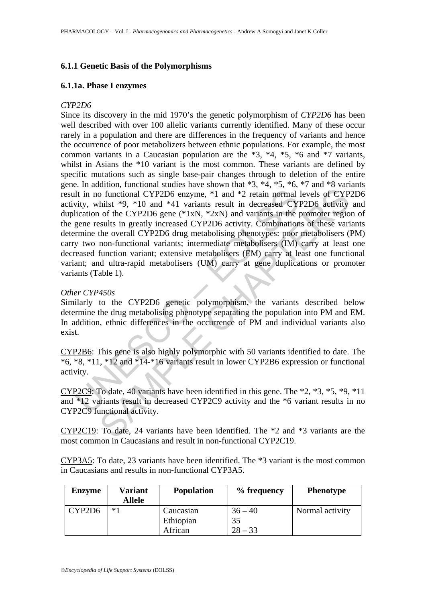# **6.1.1 Genetic Basis of the Polymorphisms**

### **6.1.1a. Phase I enzymes**

### *CYP2D6*

11 in no functional CYP2D6 enzyme, \*1 and \*2 retain normal<br>vity, whilst \*9, \*10 and \*41 variants result in decreased CYI<br>lication of the CYP2D6 gene (\*1xN, \*2xN) and variants in the gene results in greatly increased CYP2D to functional CYP2D6 enzyme, \*1 and \*2 retain normal levels of CYP<br>hilst \*9, \*10 and \*41 variants result in decreased CYP2D6 activity<br>hilst \*9, \*10 and \*41 variants result in decreased CYP2D6 activity<br>of the CYP2D6 gene ( Since its discovery in the mid 1970's the genetic polymorphism of *CYP2D6* has been well described with over 100 allelic variants currently identified. Many of these occur rarely in a population and there are differences in the frequency of variants and hence the occurrence of poor metabolizers between ethnic populations. For example, the most common variants in a Caucasian population are the  $*3$ ,  $*4$ ,  $*5$ ,  $*6$  and  $*7$  variants, whilst in Asians the \*10 variant is the most common. These variants are defined by specific mutations such as single base-pair changes through to deletion of the entire gene. In addition, functional studies have shown that \*3, \*4, \*5, \*6, \*7 and \*8 variants result in no functional CYP2D6 enzyme, \*1 and \*2 retain normal levels of CYP2D6 activity, whilst \*9, \*10 and \*41 variants result in decreased CYP2D6 activity and duplication of the CYP2D6 gene  $(*1xN, *2xN)$  and variants in the promoter region of the gene results in greatly increased CYP2D6 activity. Combinations of these variants determine the overall CYP2D6 drug metabolising phenotypes: poor metabolisers (PM) carry two non-functional variants; intermediate metabolisers (IM) carry at least one decreased function variant; extensive metabolisers (EM) carry at least one functional variant; and ultra-rapid metabolisers (UM) carry at gene duplications or promoter variants (Table 1).

### *Other CYP450s*

Similarly to the CYP2D6 genetic polymorphism, the variants described below determine the drug metabolising phenotype separating the population into PM and EM. In addition, ethnic differences in the occurrence of PM and individual variants also exist.

CYP2B6: This gene is also highly polymorphic with 50 variants identified to date. The \*6, \*8, \*11, \*12 and \*14-\*16 variants result in lower CYP2B6 expression or functional activity.

CYP2C9: To date, 40 variants have been identified in this gene. The \*2, \*3, \*5, \*9, \*11 and \*12 variants result in decreased CYP2C9 activity and the \*6 variant results in no CYP2C9 functional activity.

CYP2C19: To date, 24 variants have been identified. The \*2 and \*3 variants are the most common in Caucasians and result in non-functional CYP2C19.

CYP3A5: To date, 23 variants have been identified. The \*3 variant is the most common in Caucasians and results in non-functional CYP3A5.

| <b>Enzyme</b> | <b>Variant</b><br>Allele | <b>Population</b> | % frequency | <b>Phenotype</b> |
|---------------|--------------------------|-------------------|-------------|------------------|
| CYP2D6        | $*1$                     | Caucasian         | $36 - 40$   | Normal activity  |
|               |                          | Ethiopian         | 35          |                  |
|               |                          | African           | $28 - 33$   |                  |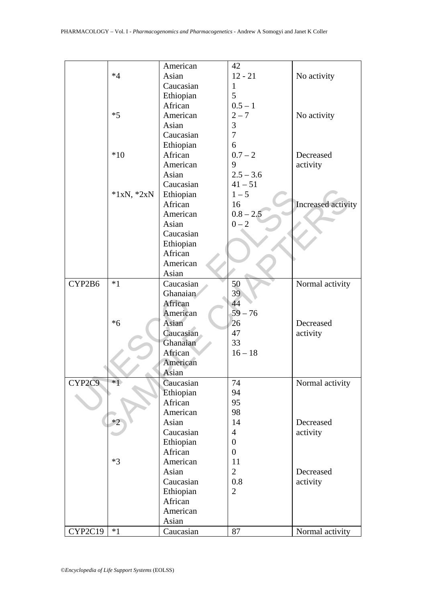|         |              | American  | 42               |                    |
|---------|--------------|-----------|------------------|--------------------|
|         | $*4$         | Asian     | $12 - 21$        | No activity        |
|         |              | Caucasian | $\mathbf{1}$     |                    |
|         |              | Ethiopian | 5                |                    |
|         |              | African   | $0.5 - 1$        |                    |
|         | $*5$         | American  | $2 - 7$          | No activity        |
|         |              | Asian     | 3                |                    |
|         |              | Caucasian | $\overline{7}$   |                    |
|         |              | Ethiopian | 6                |                    |
|         | $*10$        | African   | $0.7 - 2$        | Decreased          |
|         |              | American  | 9                | activity           |
|         |              | Asian     | $2.5 - 3.6$      |                    |
|         |              | Caucasian | $41 - 51$        |                    |
|         | $*1xN, *2xN$ | Ethiopian | $1 - 5$          |                    |
|         |              | African   | 16               | Increased activity |
|         |              | American  | $0.8 - 2.5$      |                    |
|         |              | Asian     | $0 - 2$          |                    |
|         |              | Caucasian |                  |                    |
|         |              | Ethiopian |                  |                    |
|         |              | African   |                  |                    |
|         |              | American  |                  |                    |
|         |              | Asian     |                  |                    |
| CYP2B6  | $*1$         | Caucasian | 50               | Normal activity    |
|         |              | Ghanaian  | 39               |                    |
|         |              | African   | 44               |                    |
|         |              | American  | $59 - 76$        |                    |
|         | $*6$         | Asian     | 26               | Decreased          |
|         |              | Caucasian | 47               | activity           |
|         |              | Ghanaian  | 33               |                    |
|         |              | African   | $16 - 18$        |                    |
|         |              | American  |                  |                    |
|         |              | Asian     |                  |                    |
| CYP2C9  | $*1$         | Caucasian | 74               | Normal activity    |
|         |              | Ethiopian | 94               |                    |
|         |              | African   | 95               |                    |
|         |              | American  | 98               |                    |
|         | $*2$         | Asian     | 14               | Decreased          |
|         |              | Caucasian | $\overline{4}$   | activity           |
|         |              | Ethiopian | $\boldsymbol{0}$ |                    |
|         |              | African   | $\boldsymbol{0}$ |                    |
|         | $*3$         | American  | 11               |                    |
|         |              | Asian     | $\overline{2}$   | Decreased          |
|         |              | Caucasian | 0.8              | activity           |
|         |              | Ethiopian | $\overline{2}$   |                    |
|         |              | African   |                  |                    |
|         |              | American  |                  |                    |
|         |              | Asian     |                  |                    |
| CYP2C19 | $*1$         | Caucasian | 87               | Normal activity    |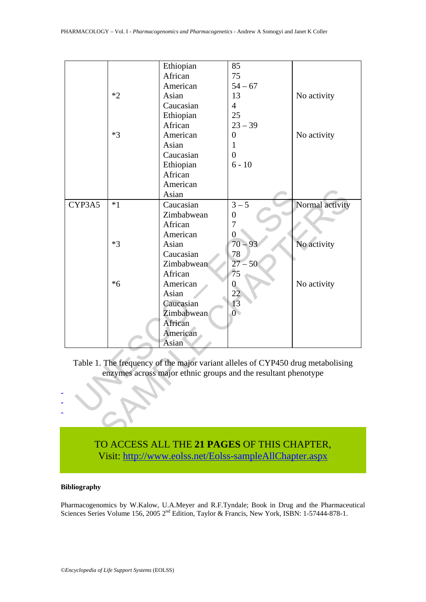|                                                                                                                                                   |      | Ethiopian  | 85               |                 |  |  |  |  |
|---------------------------------------------------------------------------------------------------------------------------------------------------|------|------------|------------------|-----------------|--|--|--|--|
|                                                                                                                                                   |      | African    | 75               |                 |  |  |  |  |
|                                                                                                                                                   |      | American   | $54 - 67$        |                 |  |  |  |  |
|                                                                                                                                                   | $*2$ | Asian      | 13               | No activity     |  |  |  |  |
|                                                                                                                                                   |      | Caucasian  | $\overline{4}$   |                 |  |  |  |  |
|                                                                                                                                                   |      | Ethiopian  | 25               |                 |  |  |  |  |
|                                                                                                                                                   |      | African    | $23 - 39$        |                 |  |  |  |  |
|                                                                                                                                                   | $*3$ | American   | $\boldsymbol{0}$ | No activity     |  |  |  |  |
|                                                                                                                                                   |      | Asian      | $\mathbf{1}$     |                 |  |  |  |  |
|                                                                                                                                                   |      | Caucasian  | $\overline{0}$   |                 |  |  |  |  |
|                                                                                                                                                   |      | Ethiopian  | $6 - 10$         |                 |  |  |  |  |
|                                                                                                                                                   |      | African    |                  |                 |  |  |  |  |
|                                                                                                                                                   |      | American   |                  |                 |  |  |  |  |
|                                                                                                                                                   |      | Asian      |                  |                 |  |  |  |  |
| CYP3A5                                                                                                                                            | $*1$ | Caucasian  | $3 - 5$          | Normal activity |  |  |  |  |
|                                                                                                                                                   |      | Zimbabwean | $\boldsymbol{0}$ |                 |  |  |  |  |
|                                                                                                                                                   |      | African    | 7                |                 |  |  |  |  |
|                                                                                                                                                   |      | American   | $\boldsymbol{0}$ |                 |  |  |  |  |
|                                                                                                                                                   | $*3$ | Asian      | $70 - 93$        | No activity     |  |  |  |  |
|                                                                                                                                                   |      | Caucasian  | 78               |                 |  |  |  |  |
|                                                                                                                                                   |      | Zimbabwean | $27 - 50$        |                 |  |  |  |  |
|                                                                                                                                                   |      | African    | 75               |                 |  |  |  |  |
|                                                                                                                                                   | $*6$ | American   | $\overline{0}$   | No activity     |  |  |  |  |
|                                                                                                                                                   |      | Asian      | $\overline{22}$  |                 |  |  |  |  |
|                                                                                                                                                   |      | Caucasian  | 13               |                 |  |  |  |  |
|                                                                                                                                                   |      | Zimbabwean | $\overline{0}$   |                 |  |  |  |  |
|                                                                                                                                                   |      | African    |                  |                 |  |  |  |  |
|                                                                                                                                                   |      | American   |                  |                 |  |  |  |  |
|                                                                                                                                                   |      | Asian      |                  |                 |  |  |  |  |
| Table 1. The frequency of the major variant alleles of CYP450 drug metabolising<br>enzymes across major ethnic groups and the resultant phenotype |      |            |                  |                 |  |  |  |  |
|                                                                                                                                                   |      |            |                  |                 |  |  |  |  |
|                                                                                                                                                   |      |            |                  |                 |  |  |  |  |
|                                                                                                                                                   |      |            |                  |                 |  |  |  |  |
|                                                                                                                                                   |      |            |                  |                 |  |  |  |  |



#### **Bibliography**

- - -

Pharmacogenomics by W.Kalow, U.A.Meyer and R.F.Tyndale; Book in Drug and the Pharmaceutical Sciences Series Volume 156, 2005 2<sup>nd</sup> Edition, Taylor & Francis, New York, ISBN: 1-57444-878-1.